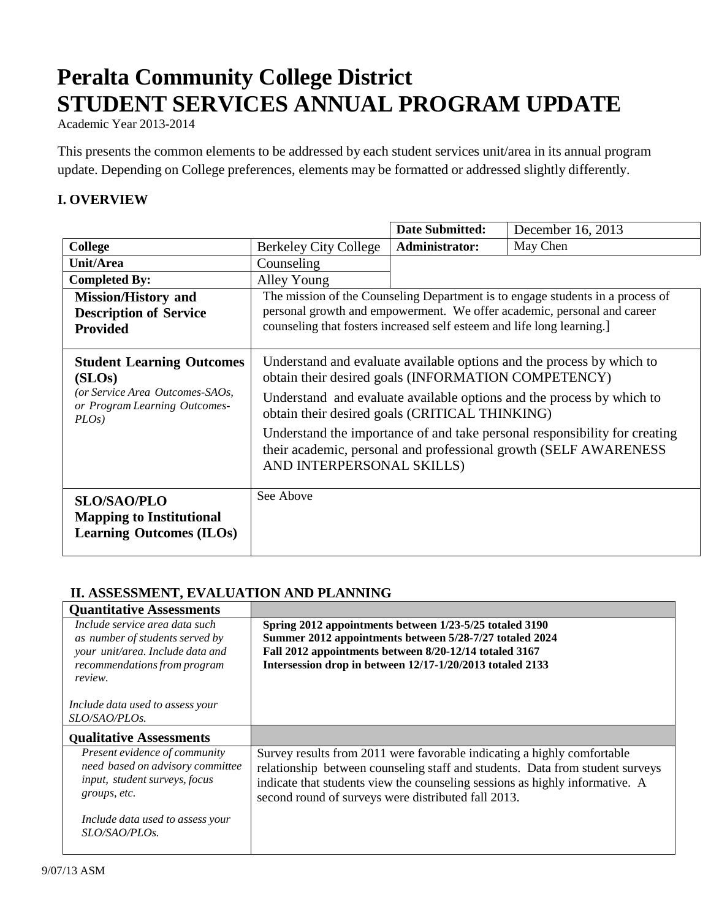# **Peralta Community College District STUDENT SERVICES ANNUAL PROGRAM UPDATE**

Academic Year 2013-2014

This presents the common elements to be addressed by each student services unit/area in its annual program update. Depending on College preferences, elements may be formatted or addressed slightly differently.

#### **I. OVERVIEW**

|                                                                                                                            |                                                                                                                                                                                                                                                                                                                                                                                                                                         | <b>Date Submitted:</b> | December 16, 2013 |
|----------------------------------------------------------------------------------------------------------------------------|-----------------------------------------------------------------------------------------------------------------------------------------------------------------------------------------------------------------------------------------------------------------------------------------------------------------------------------------------------------------------------------------------------------------------------------------|------------------------|-------------------|
| <b>College</b>                                                                                                             | <b>Berkeley City College</b>                                                                                                                                                                                                                                                                                                                                                                                                            | Administrator:         | May Chen          |
| Unit/Area                                                                                                                  | Counseling                                                                                                                                                                                                                                                                                                                                                                                                                              |                        |                   |
| <b>Completed By:</b>                                                                                                       | Alley Young                                                                                                                                                                                                                                                                                                                                                                                                                             |                        |                   |
| <b>Mission/History and</b><br><b>Description of Service</b><br><b>Provided</b>                                             | The mission of the Counseling Department is to engage students in a process of<br>personal growth and empowerment. We offer academic, personal and career<br>counseling that fosters increased self esteem and life long learning.                                                                                                                                                                                                      |                        |                   |
| <b>Student Learning Outcomes</b><br>(SLOS)<br>(or Service Area Outcomes-SAOs,<br>or Program Learning Outcomes-<br>$PLOs$ ) | Understand and evaluate available options and the process by which to<br>obtain their desired goals (INFORMATION COMPETENCY)<br>Understand and evaluate available options and the process by which to<br>obtain their desired goals (CRITICAL THINKING)<br>Understand the importance of and take personal responsibility for creating<br>their academic, personal and professional growth (SELF AWARENESS)<br>AND INTERPERSONAL SKILLS) |                        |                   |
| <b>SLO/SAO/PLO</b><br><b>Mapping to Institutional</b><br><b>Learning Outcomes (ILOs)</b>                                   | See Above                                                                                                                                                                                                                                                                                                                                                                                                                               |                        |                   |

#### **II. ASSESSMENT, EVALUATION AND PLANNING**

| <b>Quantitative Assessments</b>                                                                                                                  |                                                                                                                                                                                                                                                                                                 |
|--------------------------------------------------------------------------------------------------------------------------------------------------|-------------------------------------------------------------------------------------------------------------------------------------------------------------------------------------------------------------------------------------------------------------------------------------------------|
| Include service area data such<br>as number of students served by<br>your unit/area. Include data and<br>recommendations from program<br>review. | Spring 2012 appointments between 1/23-5/25 totaled 3190<br>Summer 2012 appointments between 5/28-7/27 totaled 2024<br>Fall 2012 appointments between 8/20-12/14 totaled 3167<br>Intersession drop in between 12/17-1/20/2013 totaled 2133                                                       |
| Include data used to assess your<br>SLO/SAO/PLOs.                                                                                                |                                                                                                                                                                                                                                                                                                 |
| <b>Qualitative Assessments</b>                                                                                                                   |                                                                                                                                                                                                                                                                                                 |
| Present evidence of community<br>need based on advisory committee<br>input, student surveys, focus<br>groups, etc.                               | Survey results from 2011 were favorable indicating a highly comfortable<br>relationship between counseling staff and students. Data from student surveys<br>indicate that students view the counseling sessions as highly informative. A<br>second round of surveys were distributed fall 2013. |
| Include data used to assess your<br>SLO/SAO/PLOs.                                                                                                |                                                                                                                                                                                                                                                                                                 |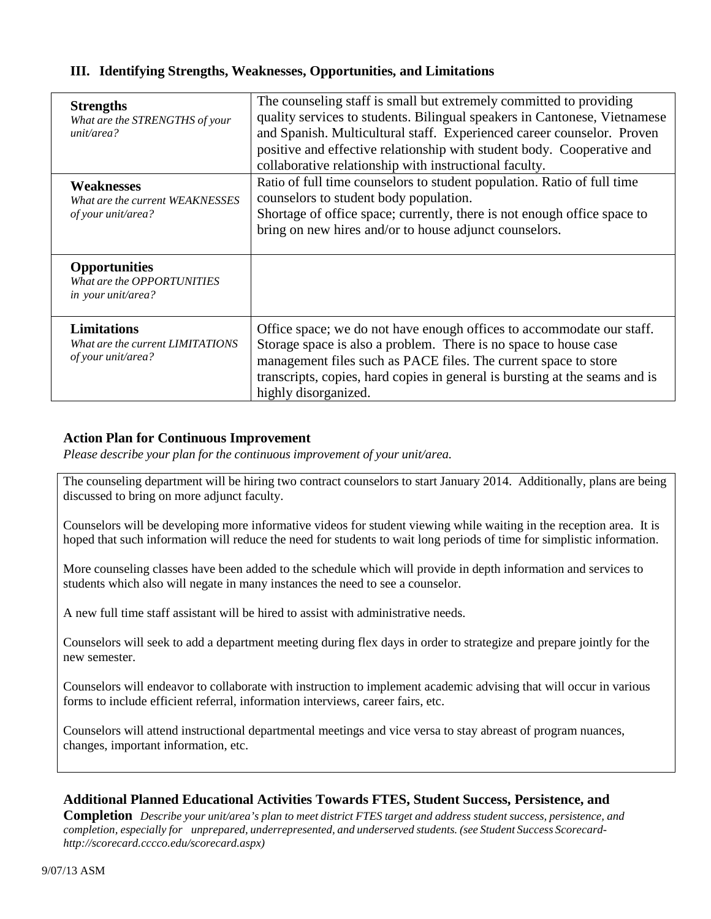#### **III. Identifying Strengths, Weaknesses, Opportunities, and Limitations**

| <b>Strengths</b><br>What are the STRENGTHS of your<br>unit/area?             | The counseling staff is small but extremely committed to providing<br>quality services to students. Bilingual speakers in Cantonese, Vietnamese<br>and Spanish. Multicultural staff. Experienced career counselor. Proven<br>positive and effective relationship with student body. Cooperative and<br>collaborative relationship with instructional faculty. |
|------------------------------------------------------------------------------|---------------------------------------------------------------------------------------------------------------------------------------------------------------------------------------------------------------------------------------------------------------------------------------------------------------------------------------------------------------|
| <b>Weaknesses</b><br>What are the current WEAKNESSES<br>of your unit/area?   | Ratio of full time counselors to student population. Ratio of full time<br>counselors to student body population.<br>Shortage of office space; currently, there is not enough office space to<br>bring on new hires and/or to house adjunct counselors.                                                                                                       |
| <b>Opportunities</b><br>What are the OPPORTUNITIES<br>in your unit/area?     |                                                                                                                                                                                                                                                                                                                                                               |
| <b>Limitations</b><br>What are the current LIMITATIONS<br>of your unit/area? | Office space; we do not have enough offices to accommodate our staff.<br>Storage space is also a problem. There is no space to house case<br>management files such as PACE files. The current space to store<br>transcripts, copies, hard copies in general is bursting at the seams and is<br>highly disorganized.                                           |

#### **Action Plan for Continuous Improvement**

*Please describe your plan for the continuous improvement of your unit/area.*

The counseling department will be hiring two contract counselors to start January 2014. Additionally, plans are being discussed to bring on more adjunct faculty.

Counselors will be developing more informative videos for student viewing while waiting in the reception area. It is hoped that such information will reduce the need for students to wait long periods of time for simplistic information.

More counseling classes have been added to the schedule which will provide in depth information and services to students which also will negate in many instances the need to see a counselor.

A new full time staff assistant will be hired to assist with administrative needs.

Counselors will seek to add a department meeting during flex days in order to strategize and prepare jointly for the new semester.

Counselors will endeavor to collaborate with instruction to implement academic advising that will occur in various forms to include efficient referral, information interviews, career fairs, etc.

Counselors will attend instructional departmental meetings and vice versa to stay abreast of program nuances, changes, important information, etc.

#### **Additional Planned Educational Activities Towards FTES, Student Success, Persistence, and**

**Completion** Describe your unit/area's plan to meet district FTES target and address student success, persistence, and *completion, especially for unprepared, underrepresented, and underserved students. (see Student Success Scorecard[http://scorecard.cccco.edu/scorecard.aspx\)](http://scorecard.cccco.edu/scorecard.aspx))*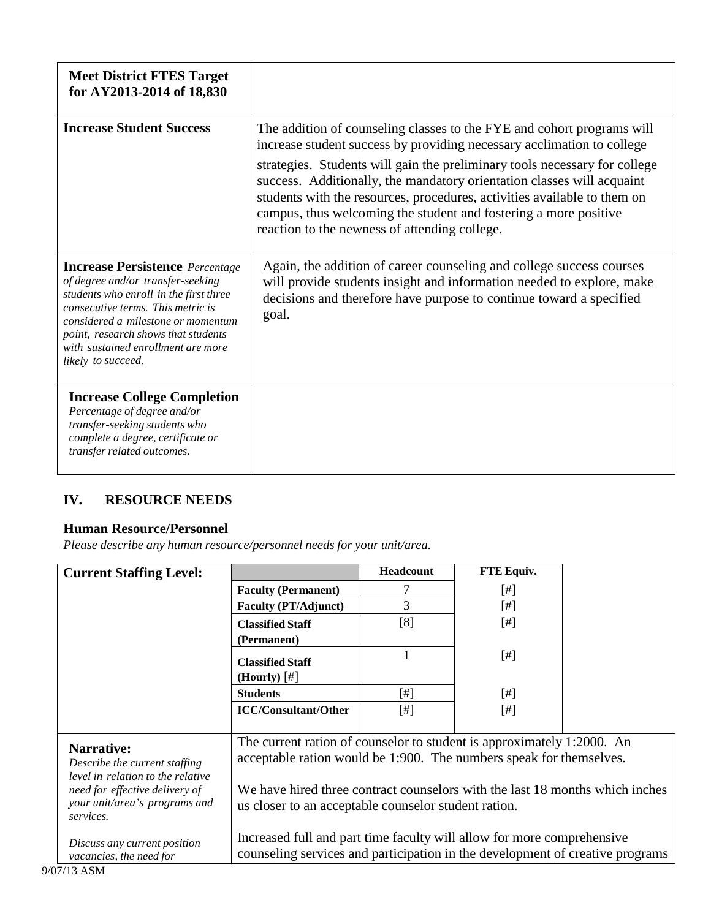| <b>Meet District FTES Target</b><br>for AY2013-2014 of 18,830                                                                                                                                                                                                                                       |                                                                                                                                                                                                                                                                                                                                                                                                                                                                                                           |
|-----------------------------------------------------------------------------------------------------------------------------------------------------------------------------------------------------------------------------------------------------------------------------------------------------|-----------------------------------------------------------------------------------------------------------------------------------------------------------------------------------------------------------------------------------------------------------------------------------------------------------------------------------------------------------------------------------------------------------------------------------------------------------------------------------------------------------|
| <b>Increase Student Success</b>                                                                                                                                                                                                                                                                     | The addition of counseling classes to the FYE and cohort programs will<br>increase student success by providing necessary acclimation to college<br>strategies. Students will gain the preliminary tools necessary for college<br>success. Additionally, the mandatory orientation classes will acquaint<br>students with the resources, procedures, activities available to them on<br>campus, thus welcoming the student and fostering a more positive<br>reaction to the newness of attending college. |
| <b>Increase Persistence</b> Percentage<br>of degree and/or transfer-seeking<br>students who enroll in the first three<br>consecutive terms. This metric is<br>considered a milestone or momentum<br>point, research shows that students<br>with sustained enrollment are more<br>likely to succeed. | Again, the addition of career counseling and college success courses<br>will provide students insight and information needed to explore, make<br>decisions and therefore have purpose to continue toward a specified<br>goal.                                                                                                                                                                                                                                                                             |
| <b>Increase College Completion</b><br>Percentage of degree and/or<br>transfer-seeking students who<br>complete a degree, certificate or<br>transfer related outcomes.                                                                                                                               |                                                                                                                                                                                                                                                                                                                                                                                                                                                                                                           |

## **IV. RESOURCE NEEDS**

### **Human Resource/Personnel**

*Please describe any human resource/personnel needs for your unit/area.*

| <b>Current Staffing Level:</b>                                                                                                                                   |                                                                                                                                                                                                                                                                                       | <b>Headcount</b> | <b>FTE Equiv.</b> |  |
|------------------------------------------------------------------------------------------------------------------------------------------------------------------|---------------------------------------------------------------------------------------------------------------------------------------------------------------------------------------------------------------------------------------------------------------------------------------|------------------|-------------------|--|
|                                                                                                                                                                  | <b>Faculty (Permanent)</b>                                                                                                                                                                                                                                                            | 7                | [#]               |  |
|                                                                                                                                                                  | <b>Faculty (PT/Adjunct)</b>                                                                                                                                                                                                                                                           | 3                | $[$               |  |
|                                                                                                                                                                  | <b>Classified Staff</b>                                                                                                                                                                                                                                                               | [8]              | [#]               |  |
|                                                                                                                                                                  | (Permanent)                                                                                                                                                                                                                                                                           |                  |                   |  |
|                                                                                                                                                                  | <b>Classified Staff</b><br>(Hourly) $[\]$                                                                                                                                                                                                                                             |                  | $[$ #]            |  |
|                                                                                                                                                                  | <b>Students</b>                                                                                                                                                                                                                                                                       | [#]              | $[$ #]            |  |
|                                                                                                                                                                  | <b>ICC/Consultant/Other</b>                                                                                                                                                                                                                                                           | [#]              | $[$               |  |
| Narrative:<br>Describe the current staffing<br>level in relation to the relative<br>need for effective delivery of<br>your unit/area's programs and<br>services. | The current ration of counselor to student is approximately 1:2000. An<br>acceptable ration would be 1:900. The numbers speak for themselves.<br>We have hired three contract counselors with the last 18 months which inches<br>us closer to an acceptable counselor student ration. |                  |                   |  |
| Discuss any current position<br>vacancies, the need for                                                                                                          | Increased full and part time faculty will allow for more comprehensive<br>counseling services and participation in the development of creative programs                                                                                                                               |                  |                   |  |
| 9/07/13 ASM                                                                                                                                                      |                                                                                                                                                                                                                                                                                       |                  |                   |  |